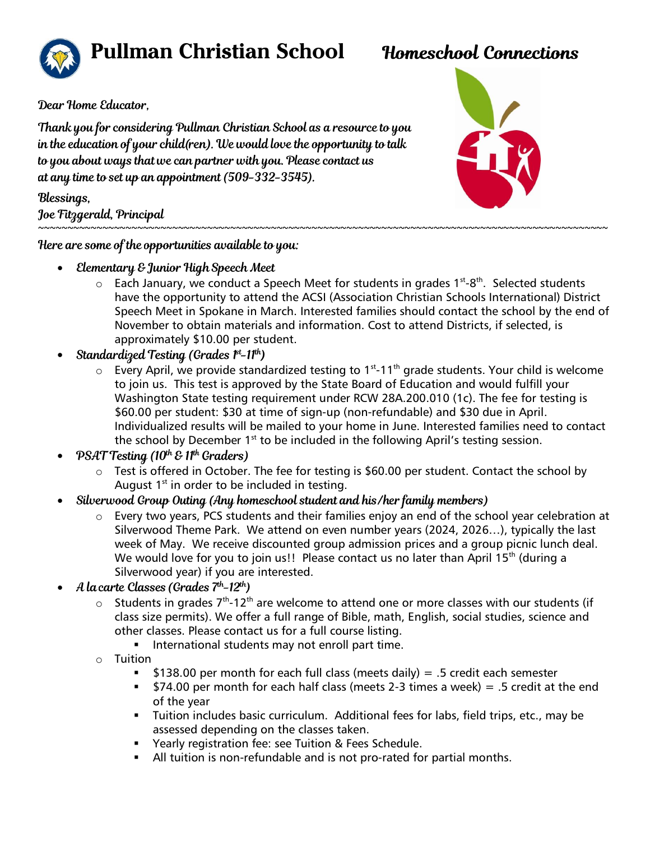

## **Pullman Christian School**

## **Homeschool Connections**

Dear Home Educator,

Thank you for considering Pullman Christian School as a resource to you in the education of your child(ren). We would love the opportunity to talk to you about ways that we can partner with you. Please contact us at any time to set up an appointment (509-332-3545).

Blessings, Joe Fitzgerald, Principal

Here are some of the opportunities available to you:

- $\bullet$ Elementary & Junior High Speech Meet
	- $\circ$  Each January, we conduct a Speech Meet for students in grades 1<sup>st</sup>-8<sup>th</sup>. Selected students have the opportunity to attend the ACSI (Association Christian Schools International) District Speech Meet in Spokane in March. Interested families should contact the school by the end of November to obtain materials and information. Cost to attend Districts, if selected, is approximately \$10.00 per student.

~~~~~~~~~~~~~~~~~~~~~~~~~~~~~~~~~~~~~~~~~~~~~~~~~~~~~~~~~~~~~~~~~~~~~~~~~~~~~~~~~~~~~~~~~~~~~~~~~~

- $\bullet$ Standardized Testing (Grades  $1^{st}$ -11<sup>th</sup>)
	- $\circ$  Every April, we provide standardized testing to 1<sup>st</sup>-11<sup>th</sup> grade students. Your child is welcome to join us. This test is approved by the State Board of Education and would fulfill your Washington State testing requirement under RCW 28A.200.010 (1c). The fee for testing is \$60.00 per student: \$30 at time of sign-up (non-refundable) and \$30 due in April. Individualized results will be mailed to your home in June. Interested families need to contact the school by December  $1<sup>st</sup>$  to be included in the following April's testing session.
- PSAT Testing (10<sup>th</sup> & 1<sup>th</sup> Graders)  $\bullet$ 
	- $\circ$  Test is offered in October. The fee for testing is \$60.00 per student. Contact the school by August  $1<sup>st</sup>$  in order to be included in testing.
- Silverwood Group Outing (Any homeschool student and his/her family members)  $\bullet$ 
	- o Every two years, PCS students and their families enjoy an end of the school year celebration at Silverwood Theme Park. We attend on even number years (2024, 2026…), typically the last week of May. We receive discounted group admission prices and a group picnic lunch deal. We would love for you to join us!! Please contact us no later than April 15<sup>th</sup> (during a Silverwood year) if you are interested.
- A la carte Classes (Grades  $7^{th}$ -12<sup>th</sup>)  $\bullet$ 
	- $\circ$  Students in grades 7<sup>th</sup>-12<sup>th</sup> are welcome to attend one or more classes with our students (if class size permits). We offer a full range of Bible, math, English, social studies, science and other classes. Please contact us for a full course listing.
		- **International students may not enroll part time.**
	- o Tuition
		- \$138.00 per month for each full class (meets daily) = .5 credit each semester
		- \$74.00 per month for each half class (meets 2-3 times a week) = .5 credit at the end of the year
		- Tuition includes basic curriculum. Additional fees for labs, field trips, etc., may be assessed depending on the classes taken.
		- Yearly registration fee: see Tuition & Fees Schedule.
		- All tuition is non-refundable and is not pro-rated for partial months.